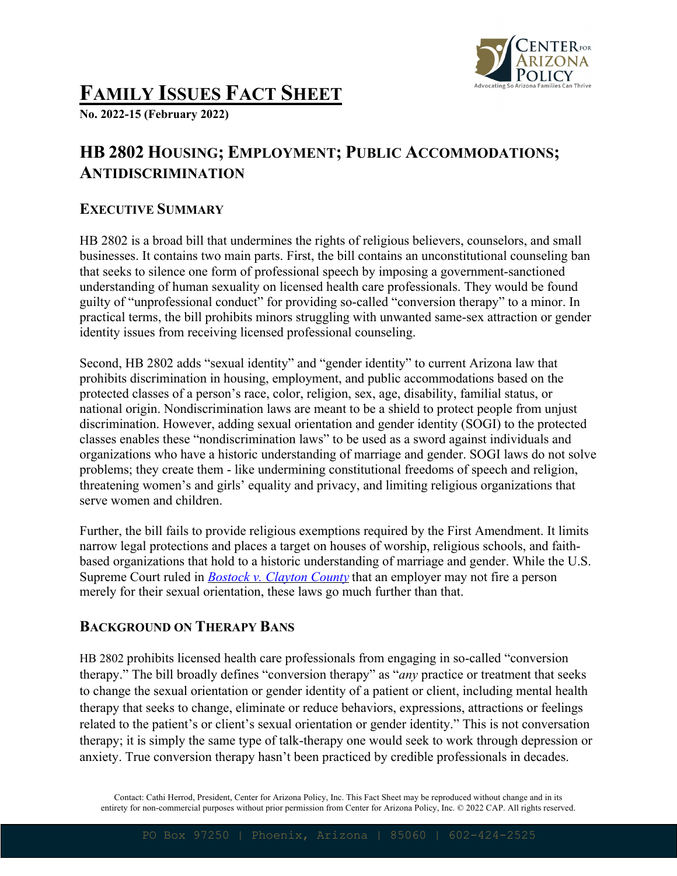

# **FAMILY ISSUES FACT SHEET**

**No. 2022-15 (February 2022)**

## **HB 2802 HOUSING; EMPLOYMENT; PUBLIC ACCOMMODATIONS; ANTIDISCRIMINATION**

#### **EXECUTIVE SUMMARY**

HB 2802 is a broad bill that undermines the rights of religious believers, counselors, and small businesses. It contains two main parts. First, the bill contains an unconstitutional counseling ban that seeks to silence one form of professional speech by imposing a government-sanctioned understanding of human sexuality on licensed health care professionals. They would be found guilty of "unprofessional conduct" for providing so-called "conversion therapy" to a minor. In practical terms, the bill prohibits minors struggling with unwanted same-sex attraction or gender identity issues from receiving licensed professional counseling.

Second, HB 2802 adds "sexual identity" and "gender identity" to current Arizona law that prohibits discrimination in housing, employment, and public accommodations based on the protected classes of a person's race, color, religion, sex, age, disability, familial status, or national origin. Nondiscrimination laws are meant to be a shield to protect people from unjust discrimination. However, adding sexual orientation and gender identity (SOGI) to the protected classes enables these "nondiscrimination laws" to be used as a sword against individuals and organizations who have a historic understanding of marriage and gender. SOGI laws do not solve problems; they create them - like undermining constitutional freedoms of speech and religion, threatening women's and girls' equality and privacy, and limiting religious organizations that serve women and children.

Further, the bill fails to provide religious exemptions required by the First Amendment. It limits narrow legal protections and places a target on houses of worship, religious schools, and faithbased organizations that hold to a historic understanding of marriage and gender. While the U.S. Supreme Court ruled in *Bostock v. Clayton County* that an employer may not fire a person merely for their sexual orientation, these laws go much further than that.

#### **BACKGROUND ON THERAPY BANS**

HB 2802 prohibits licensed health care professionals from engaging in so-called "conversion therapy." The bill broadly defines "conversion therapy" as "*any* practice or treatment that seeks to change the sexual orientation or gender identity of a patient or client, including mental health therapy that seeks to change, eliminate or reduce behaviors, expressions, attractions or feelings related to the patient's or client's sexual orientation or gender identity." This is not conversation therapy; it is simply the same type of talk-therapy one would seek to work through depression or anxiety. True conversion therapy hasn't been practiced by credible professionals in decades.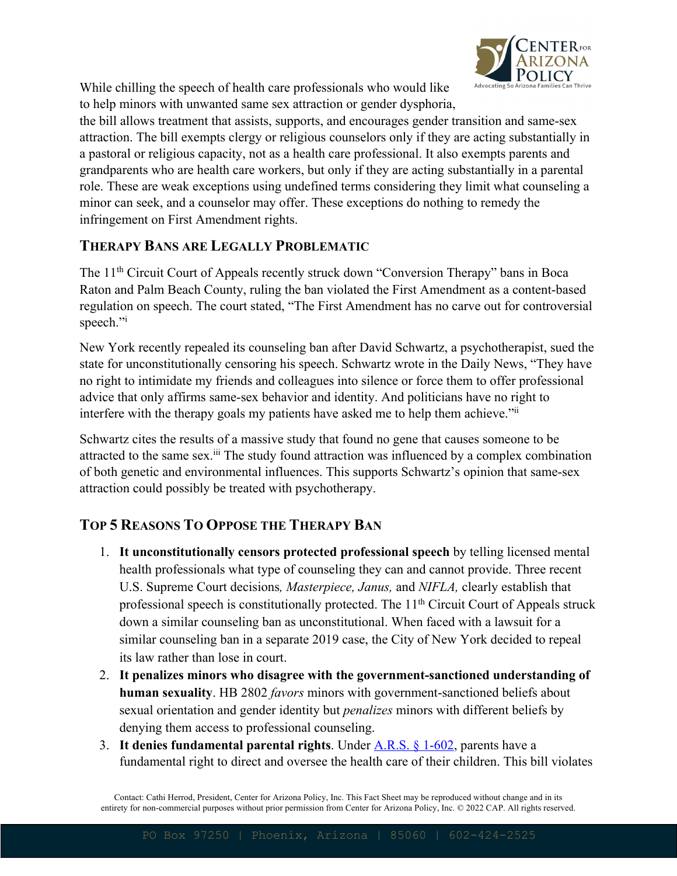

While chilling the speech of health care professionals who would like to help minors with unwanted same sex attraction or gender dysphoria,

the bill allows treatment that assists, supports, and encourages gender transition and same-sex attraction. The bill exempts clergy or religious counselors only if they are acting substantially in a pastoral or religious capacity, not as a health care professional. It also exempts parents and grandparents who are health care workers, but only if they are acting substantially in a parental role. These are weak exceptions using undefined terms considering they limit what counseling a minor can seek, and a counselor may offer. These exceptions do nothing to remedy the infringement on First Amendment rights.

#### **THERAPY BANS ARE LEGALLY PROBLEMATIC**

The 11<sup>th</sup> Circuit Court of Appeals recently struck down "Conversion Therapy" bans in Boca Raton and Palm Beach County, ruling the ban violated the First Amendment as a content-based regulation on speech. The court stated, "The First Amendment has no carve out for controversial speech."i

New York recently repealed its counseling ban after David Schwartz, a psychotherapist, sued the state for unconstitutionally censoring his speech. Schwartz wrote in the Daily News, "They have no right to intimidate my friends and colleagues into silence or force them to offer professional advice that only affirms same-sex behavior and identity. And politicians have no right to interfere with the therapy goals my patients have asked me to help them achieve."ii

Schwartz cites the results of a massive study that found no gene that causes someone to be attracted to the same sex.<sup>iii</sup> The study found attraction was influenced by a complex combination of both genetic and environmental influences. This supports Schwartz's opinion that same-sex attraction could possibly be treated with psychotherapy.

### **TOP 5 REASONS TO OPPOSE THE THERAPY BAN**

- 1. **It unconstitutionally censors protected professional speech** by telling licensed mental health professionals what type of counseling they can and cannot provide. Three recent U.S. Supreme Court decisions*, Masterpiece, Janus,* and *NIFLA,* clearly establish that professional speech is constitutionally protected. The  $11<sup>th</sup>$  Circuit Court of Appeals struck down a similar counseling ban as unconstitutional. When faced with a lawsuit for a similar counseling ban in a separate 2019 case, the City of New York decided to repeal its law rather than lose in court.
- 2. **It penalizes minors who disagree with the government-sanctioned understanding of human sexuality**. HB 2802 *favors* minors with government-sanctioned beliefs about sexual orientation and gender identity but *penalizes* minors with different beliefs by denying them access to professional counseling.
- 3. **It denies fundamental parental rights**. Under A.R.S. § 1-602, parents have a fundamental right to direct and oversee the health care of their children. This bill violates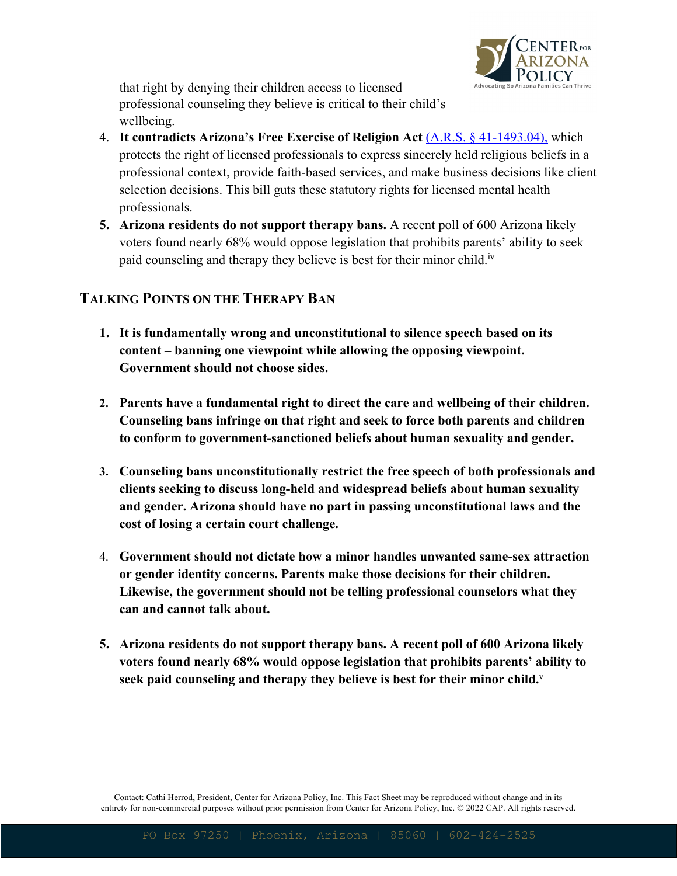

that right by denying their children access to licensed professional counseling they believe is critical to their child's wellbeing.

- 4. **It contradicts Arizona's Free Exercise of Religion Act** (A.R.S. § 41-1493.04), which protects the right of licensed professionals to express sincerely held religious beliefs in a professional context, provide faith-based services, and make business decisions like client selection decisions. This bill guts these statutory rights for licensed mental health professionals.
- **5. Arizona residents do not support therapy bans.** A recent poll of 600 Arizona likely voters found nearly 68% would oppose legislation that prohibits parents' ability to seek paid counseling and therapy they believe is best for their minor child.<sup>iv</sup>

#### **TALKING POINTS ON THE THERAPY BAN**

- **1. It is fundamentally wrong and unconstitutional to silence speech based on its content – banning one viewpoint while allowing the opposing viewpoint. Government should not choose sides.**
- **2. Parents have a fundamental right to direct the care and wellbeing of their children. Counseling bans infringe on that right and seek to force both parents and children to conform to government-sanctioned beliefs about human sexuality and gender.**
- **3. Counseling bans unconstitutionally restrict the free speech of both professionals and clients seeking to discuss long-held and widespread beliefs about human sexuality and gender. Arizona should have no part in passing unconstitutional laws and the cost of losing a certain court challenge.**
- 4. **Government should not dictate how a minor handles unwanted same-sex attraction or gender identity concerns. Parents make those decisions for their children. Likewise, the government should not be telling professional counselors what they can and cannot talk about.**
- **5. Arizona residents do not support therapy bans. A recent poll of 600 Arizona likely voters found nearly 68% would oppose legislation that prohibits parents' ability to seek paid counseling and therapy they believe is best for their minor child.**v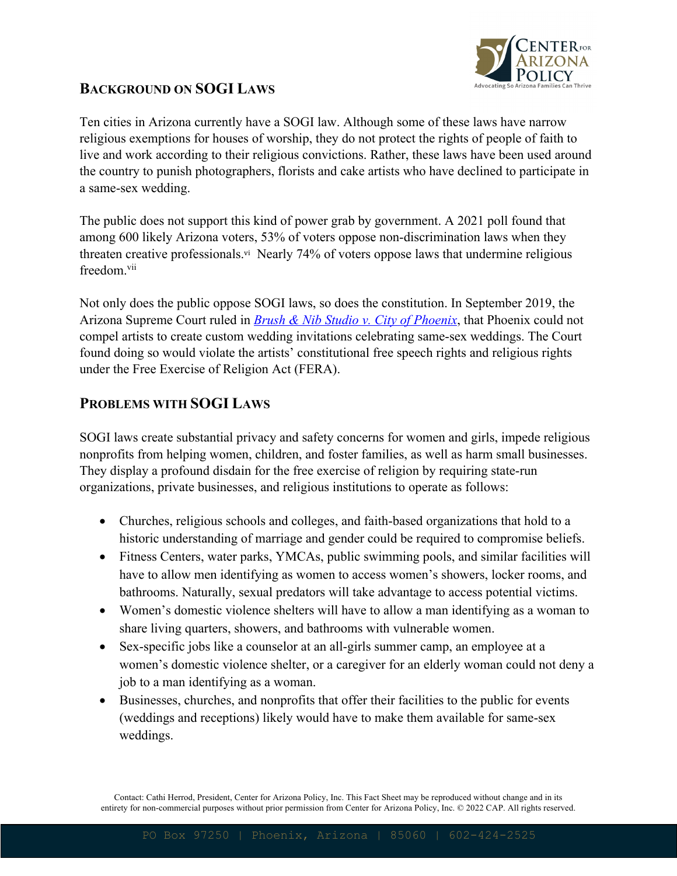

#### **BACKGROUND ON SOGI LAWS**

Ten cities in Arizona currently have a SOGI law. Although some of these laws have narrow religious exemptions for houses of worship, they do not protect the rights of people of faith to live and work according to their religious convictions. Rather, these laws have been used around the country to punish photographers, florists and cake artists who have declined to participate in a same-sex wedding.

The public does not support this kind of power grab by government. A 2021 poll found that among 600 likely Arizona voters, 53% of voters oppose non-discrimination laws when they threaten creative professionals.vi Nearly 74% of voters oppose laws that undermine religious freedom.vii

Not only does the public oppose SOGI laws, so does the constitution. In September 2019, the Arizona Supreme Court ruled in *Brush & Nib Studio v. City of Phoenix*, that Phoenix could not compel artists to create custom wedding invitations celebrating same-sex weddings. The Court found doing so would violate the artists' constitutional free speech rights and religious rights under the Free Exercise of Religion Act (FERA).

#### **PROBLEMS WITH SOGI LAWS**

SOGI laws create substantial privacy and safety concerns for women and girls, impede religious nonprofits from helping women, children, and foster families, as well as harm small businesses. They display a profound disdain for the free exercise of religion by requiring state-run organizations, private businesses, and religious institutions to operate as follows:

- Churches, religious schools and colleges, and faith-based organizations that hold to a historic understanding of marriage and gender could be required to compromise beliefs.
- Fitness Centers, water parks, YMCAs, public swimming pools, and similar facilities will have to allow men identifying as women to access women's showers, locker rooms, and bathrooms. Naturally, sexual predators will take advantage to access potential victims.
- Women's domestic violence shelters will have to allow a man identifying as a woman to share living quarters, showers, and bathrooms with vulnerable women.
- Sex-specific jobs like a counselor at an all-girls summer camp, an employee at a women's domestic violence shelter, or a caregiver for an elderly woman could not deny a job to a man identifying as a woman.
- Businesses, churches, and nonprofits that offer their facilities to the public for events (weddings and receptions) likely would have to make them available for same-sex weddings.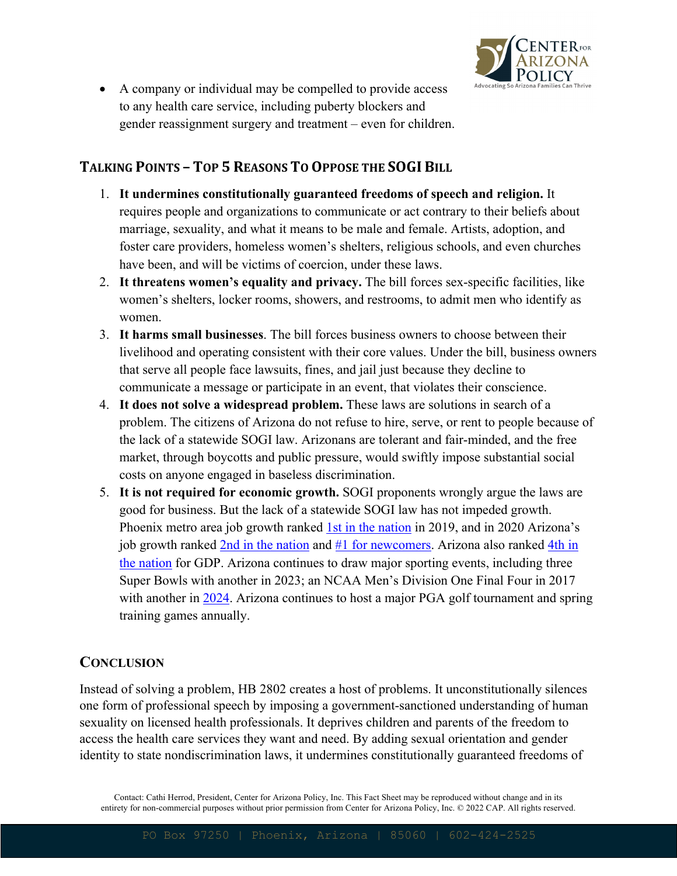

• A company or individual may be compelled to provide access to any health care service, including puberty blockers and gender reassignment surgery and treatment – even for children.

#### **TALKING POINTS - TOP 5 REASONS TO OPPOSE THE SOGI BILL**

- 1. **It undermines constitutionally guaranteed freedoms of speech and religion.** It requires people and organizations to communicate or act contrary to their beliefs about marriage, sexuality, and what it means to be male and female. Artists, adoption, and foster care providers, homeless women's shelters, religious schools, and even churches have been, and will be victims of coercion, under these laws.
- 2. **It threatens women's equality and privacy.** The bill forces sex-specific facilities, like women's shelters, locker rooms, showers, and restrooms, to admit men who identify as women.
- 3. **It harms small businesses**. The bill forces business owners to choose between their livelihood and operating consistent with their core values. Under the bill, business owners that serve all people face lawsuits, fines, and jail just because they decline to communicate a message or participate in an event, that violates their conscience.
- 4. **It does not solve a widespread problem.** These laws are solutions in search of a problem. The citizens of Arizona do not refuse to hire, serve, or rent to people because of the lack of a statewide SOGI law. Arizonans are tolerant and fair-minded, and the free market, through boycotts and public pressure, would swiftly impose substantial social costs on anyone engaged in baseless discrimination.
- 5. **It is not required for economic growth.** SOGI proponents wrongly argue the laws are good for business. But the lack of a statewide SOGI law has not impeded growth. Phoenix metro area job growth ranked 1st in the nation in 2019, and in 2020 Arizona's job growth ranked 2nd in the nation and #1 for newcomers. Arizona also ranked 4th in the nation for GDP. Arizona continues to draw major sporting events, including three Super Bowls with another in 2023; an NCAA Men's Division One Final Four in 2017 with another in 2024. Arizona continues to host a major PGA golf tournament and spring training games annually.

#### **CONCLUSION**

Instead of solving a problem, HB 2802 creates a host of problems. It unconstitutionally silences one form of professional speech by imposing a government-sanctioned understanding of human sexuality on licensed health professionals. It deprives children and parents of the freedom to access the health care services they want and need. By adding sexual orientation and gender identity to state nondiscrimination laws, it undermines constitutionally guaranteed freedoms of